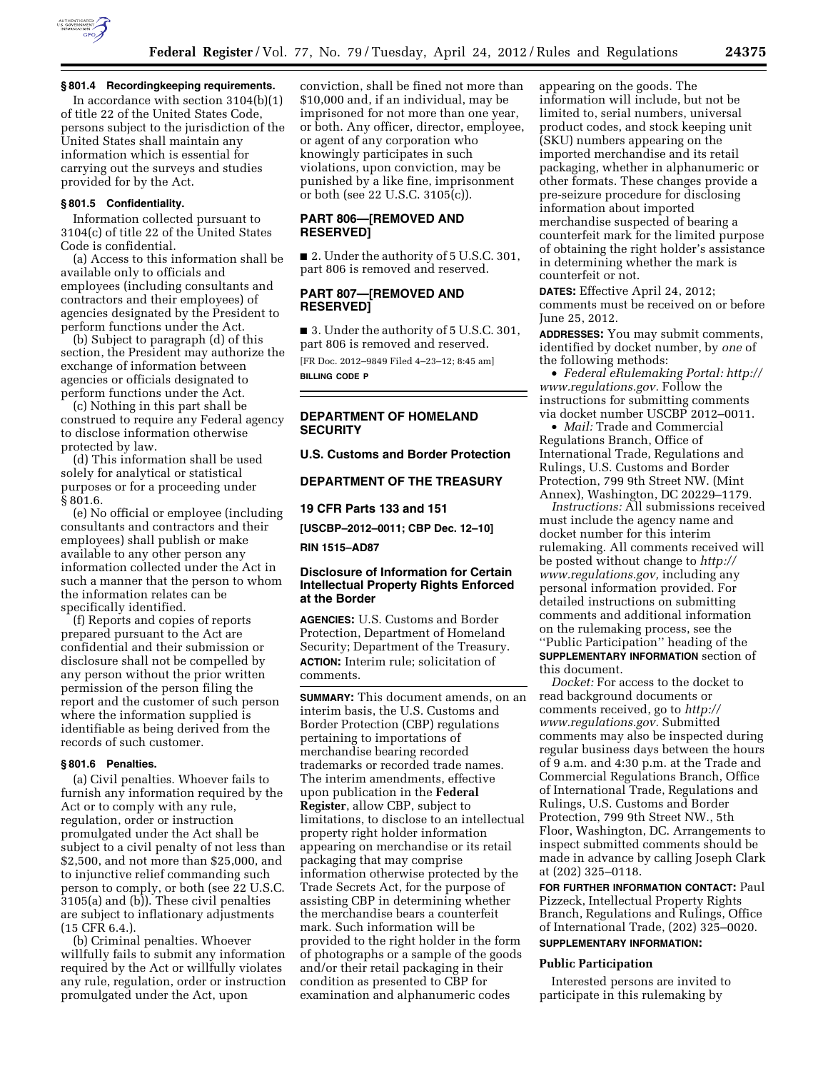

# **§ 801.4 Recordingkeeping requirements.**

In accordance with section 3104(b)(1) of title 22 of the United States Code, persons subject to the jurisdiction of the United States shall maintain any information which is essential for carrying out the surveys and studies provided for by the Act.

## **§ 801.5 Confidentiality.**

Information collected pursuant to 3104(c) of title 22 of the United States Code is confidential.

(a) Access to this information shall be available only to officials and employees (including consultants and contractors and their employees) of agencies designated by the President to perform functions under the Act.

(b) Subject to paragraph (d) of this section, the President may authorize the exchange of information between agencies or officials designated to perform functions under the Act.

(c) Nothing in this part shall be construed to require any Federal agency to disclose information otherwise protected by law.

(d) This information shall be used solely for analytical or statistical purposes or for a proceeding under § 801.6.

(e) No official or employee (including consultants and contractors and their employees) shall publish or make available to any other person any information collected under the Act in such a manner that the person to whom the information relates can be specifically identified.

(f) Reports and copies of reports prepared pursuant to the Act are confidential and their submission or disclosure shall not be compelled by any person without the prior written permission of the person filing the report and the customer of such person where the information supplied is identifiable as being derived from the records of such customer.

### **§ 801.6 Penalties.**

(a) Civil penalties. Whoever fails to furnish any information required by the Act or to comply with any rule, regulation, order or instruction promulgated under the Act shall be subject to a civil penalty of not less than \$2,500, and not more than \$25,000, and to injunctive relief commanding such person to comply, or both (see 22 U.S.C. 3105(a) and (b)). These civil penalties are subject to inflationary adjustments (15 CFR 6.4.).

(b) Criminal penalties. Whoever willfully fails to submit any information required by the Act or willfully violates any rule, regulation, order or instruction promulgated under the Act, upon

conviction, shall be fined not more than \$10,000 and, if an individual, may be imprisoned for not more than one year, or both. Any officer, director, employee, or agent of any corporation who knowingly participates in such violations, upon conviction, may be punished by a like fine, imprisonment or both (see 22 U.S.C. 3105(c)).

### **PART 806—[REMOVED AND RESERVED]**

■ 2. Under the authority of 5 U.S.C. 301, part 806 is removed and reserved.

# **PART 807—[REMOVED AND RESERVED]**

■ 3. Under the authority of 5 U.S.C. 301, part 806 is removed and reserved. [FR Doc. 2012–9849 Filed 4–23–12; 8:45 am] **BILLING CODE P** 

### **DEPARTMENT OF HOMELAND SECURITY**

## **U.S. Customs and Border Protection**

# **DEPARTMENT OF THE TREASURY**

#### **19 CFR Parts 133 and 151**

**[USCBP–2012–0011; CBP Dec. 12–10]** 

## **RIN 1515–AD87**

# **Disclosure of Information for Certain Intellectual Property Rights Enforced at the Border**

**AGENCIES:** U.S. Customs and Border Protection, Department of Homeland Security; Department of the Treasury. **ACTION:** Interim rule; solicitation of comments.

**SUMMARY:** This document amends, on an interim basis, the U.S. Customs and Border Protection (CBP) regulations pertaining to importations of merchandise bearing recorded trademarks or recorded trade names. The interim amendments, effective upon publication in the **Federal Register**, allow CBP, subject to limitations, to disclose to an intellectual property right holder information appearing on merchandise or its retail packaging that may comprise information otherwise protected by the Trade Secrets Act, for the purpose of assisting CBP in determining whether the merchandise bears a counterfeit mark. Such information will be provided to the right holder in the form of photographs or a sample of the goods and/or their retail packaging in their condition as presented to CBP for examination and alphanumeric codes

appearing on the goods. The information will include, but not be limited to, serial numbers, universal product codes, and stock keeping unit (SKU) numbers appearing on the imported merchandise and its retail packaging, whether in alphanumeric or other formats. These changes provide a pre-seizure procedure for disclosing information about imported merchandise suspected of bearing a counterfeit mark for the limited purpose of obtaining the right holder's assistance in determining whether the mark is counterfeit or not.

**DATES:** Effective April 24, 2012; comments must be received on or before June 25, 2012.

**ADDRESSES:** You may submit comments, identified by docket number, by *one* of the following methods:

• *Federal eRulemaking Portal: [http://](http://www.regulations.gov)  [www.regulations.gov.](http://www.regulations.gov)* Follow the instructions for submitting comments via docket number USCBP 2012–0011.

• *Mail:* Trade and Commercial Regulations Branch, Office of International Trade, Regulations and Rulings, U.S. Customs and Border Protection, 799 9th Street NW. (Mint Annex), Washington, DC 20229–1179.

*Instructions:* All submissions received must include the agency name and docket number for this interim rulemaking. All comments received will be posted without change to *[http://](http://www.regulations.gov) [www.regulations.gov,](http://www.regulations.gov)* including any personal information provided. For detailed instructions on submitting comments and additional information on the rulemaking process, see the ''Public Participation'' heading of the **SUPPLEMENTARY INFORMATION** section of this document.

*Docket:* For access to the docket to read background documents or comments received, go to *[http://](http://www.regulations.gov)  [www.regulations.gov.](http://www.regulations.gov)* Submitted comments may also be inspected during regular business days between the hours of 9 a.m. and 4:30 p.m. at the Trade and Commercial Regulations Branch, Office of International Trade, Regulations and Rulings, U.S. Customs and Border Protection, 799 9th Street NW., 5th Floor, Washington, DC. Arrangements to inspect submitted comments should be made in advance by calling Joseph Clark at (202) 325–0118.

**FOR FURTHER INFORMATION CONTACT:** Paul Pizzeck, Intellectual Property Rights Branch, Regulations and Rulings, Office of International Trade, (202) 325–0020. **SUPPLEMENTARY INFORMATION:** 

#### **Public Participation**

Interested persons are invited to participate in this rulemaking by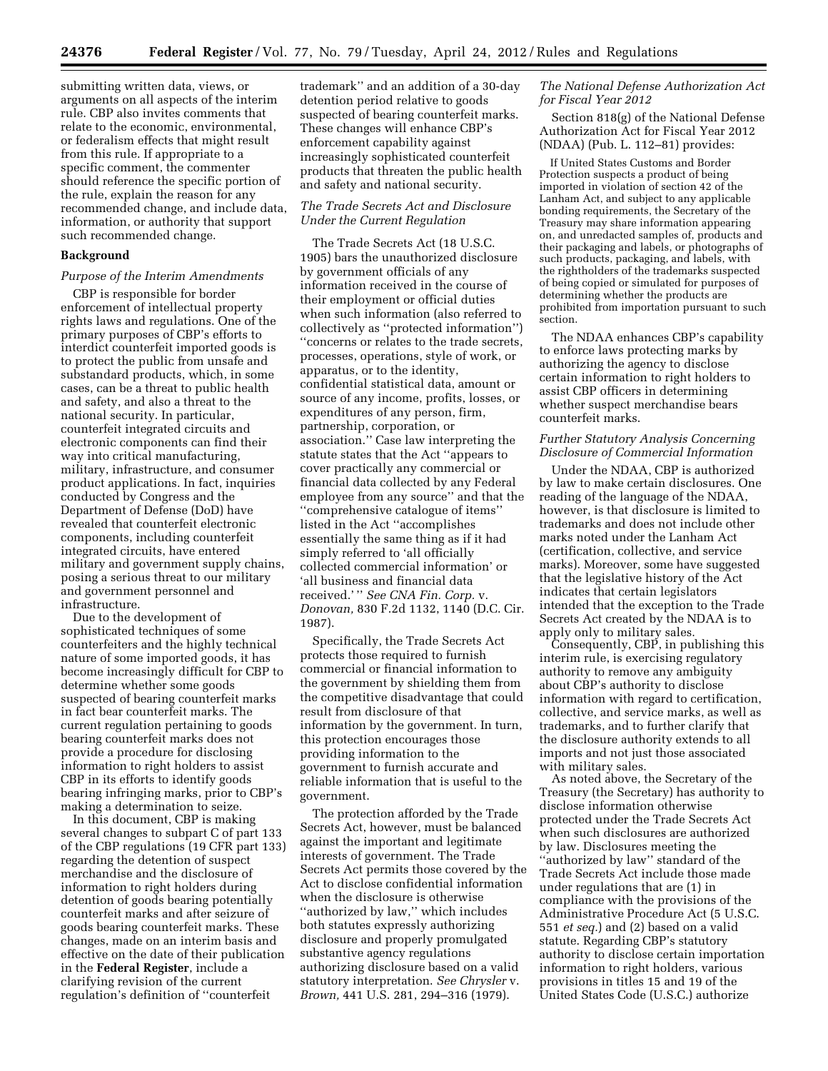submitting written data, views, or arguments on all aspects of the interim rule. CBP also invites comments that relate to the economic, environmental, or federalism effects that might result from this rule. If appropriate to a specific comment, the commenter should reference the specific portion of the rule, explain the reason for any recommended change, and include data, information, or authority that support such recommended change.

#### **Background**

#### *Purpose of the Interim Amendments*

CBP is responsible for border enforcement of intellectual property rights laws and regulations. One of the primary purposes of CBP's efforts to interdict counterfeit imported goods is to protect the public from unsafe and substandard products, which, in some cases, can be a threat to public health and safety, and also a threat to the national security. In particular, counterfeit integrated circuits and electronic components can find their way into critical manufacturing, military, infrastructure, and consumer product applications. In fact, inquiries conducted by Congress and the Department of Defense (DoD) have revealed that counterfeit electronic components, including counterfeit integrated circuits, have entered military and government supply chains, posing a serious threat to our military and government personnel and infrastructure.

Due to the development of sophisticated techniques of some counterfeiters and the highly technical nature of some imported goods, it has become increasingly difficult for CBP to determine whether some goods suspected of bearing counterfeit marks in fact bear counterfeit marks. The current regulation pertaining to goods bearing counterfeit marks does not provide a procedure for disclosing information to right holders to assist CBP in its efforts to identify goods bearing infringing marks, prior to CBP's making a determination to seize.

In this document, CBP is making several changes to subpart C of part 133 of the CBP regulations (19 CFR part 133) regarding the detention of suspect merchandise and the disclosure of information to right holders during detention of goods bearing potentially counterfeit marks and after seizure of goods bearing counterfeit marks. These changes, made on an interim basis and effective on the date of their publication in the **Federal Register**, include a clarifying revision of the current regulation's definition of ''counterfeit

trademark'' and an addition of a 30-day detention period relative to goods suspected of bearing counterfeit marks. These changes will enhance CBP's enforcement capability against increasingly sophisticated counterfeit products that threaten the public health and safety and national security.

## *The Trade Secrets Act and Disclosure Under the Current Regulation*

The Trade Secrets Act (18 U.S.C. 1905) bars the unauthorized disclosure by government officials of any information received in the course of their employment or official duties when such information (also referred to collectively as ''protected information'') ''concerns or relates to the trade secrets, processes, operations, style of work, or apparatus, or to the identity, confidential statistical data, amount or source of any income, profits, losses, or expenditures of any person, firm, partnership, corporation, or association.'' Case law interpreting the statute states that the Act ''appears to cover practically any commercial or financial data collected by any Federal employee from any source'' and that the ''comprehensive catalogue of items'' listed in the Act ''accomplishes essentially the same thing as if it had simply referred to 'all officially collected commercial information' or 'all business and financial data received.' '' *See CNA Fin. Corp.* v. *Donovan,* 830 F.2d 1132, 1140 (D.C. Cir. 1987).

Specifically, the Trade Secrets Act protects those required to furnish commercial or financial information to the government by shielding them from the competitive disadvantage that could result from disclosure of that information by the government. In turn, this protection encourages those providing information to the government to furnish accurate and reliable information that is useful to the government.

The protection afforded by the Trade Secrets Act, however, must be balanced against the important and legitimate interests of government. The Trade Secrets Act permits those covered by the Act to disclose confidential information when the disclosure is otherwise ''authorized by law,'' which includes both statutes expressly authorizing disclosure and properly promulgated substantive agency regulations authorizing disclosure based on a valid statutory interpretation. *See Chrysler* v. *Brown,* 441 U.S. 281, 294–316 (1979).

### *The National Defense Authorization Act for Fiscal Year 2012*

Section 818(g) of the National Defense Authorization Act for Fiscal Year 2012 (NDAA) (Pub. L. 112–81) provides:

If United States Customs and Border Protection suspects a product of being imported in violation of section 42 of the Lanham Act, and subject to any applicable bonding requirements, the Secretary of the Treasury may share information appearing on, and unredacted samples of, products and their packaging and labels, or photographs of such products, packaging, and labels, with the rightholders of the trademarks suspected of being copied or simulated for purposes of determining whether the products are prohibited from importation pursuant to such section.

The NDAA enhances CBP's capability to enforce laws protecting marks by authorizing the agency to disclose certain information to right holders to assist CBP officers in determining whether suspect merchandise bears counterfeit marks.

# *Further Statutory Analysis Concerning Disclosure of Commercial Information*

Under the NDAA, CBP is authorized by law to make certain disclosures. One reading of the language of the NDAA, however, is that disclosure is limited to trademarks and does not include other marks noted under the Lanham Act (certification, collective, and service marks). Moreover, some have suggested that the legislative history of the Act indicates that certain legislators intended that the exception to the Trade Secrets Act created by the NDAA is to apply only to military sales.

Consequently, CBP, in publishing this interim rule, is exercising regulatory authority to remove any ambiguity about CBP's authority to disclose information with regard to certification, collective, and service marks, as well as trademarks, and to further clarify that the disclosure authority extends to all imports and not just those associated with military sales.

As noted above, the Secretary of the Treasury (the Secretary) has authority to disclose information otherwise protected under the Trade Secrets Act when such disclosures are authorized by law. Disclosures meeting the ''authorized by law'' standard of the Trade Secrets Act include those made under regulations that are (1) in compliance with the provisions of the Administrative Procedure Act (5 U.S.C. 551 *et seq.*) and (2) based on a valid statute. Regarding CBP's statutory authority to disclose certain importation information to right holders, various provisions in titles 15 and 19 of the United States Code (U.S.C.) authorize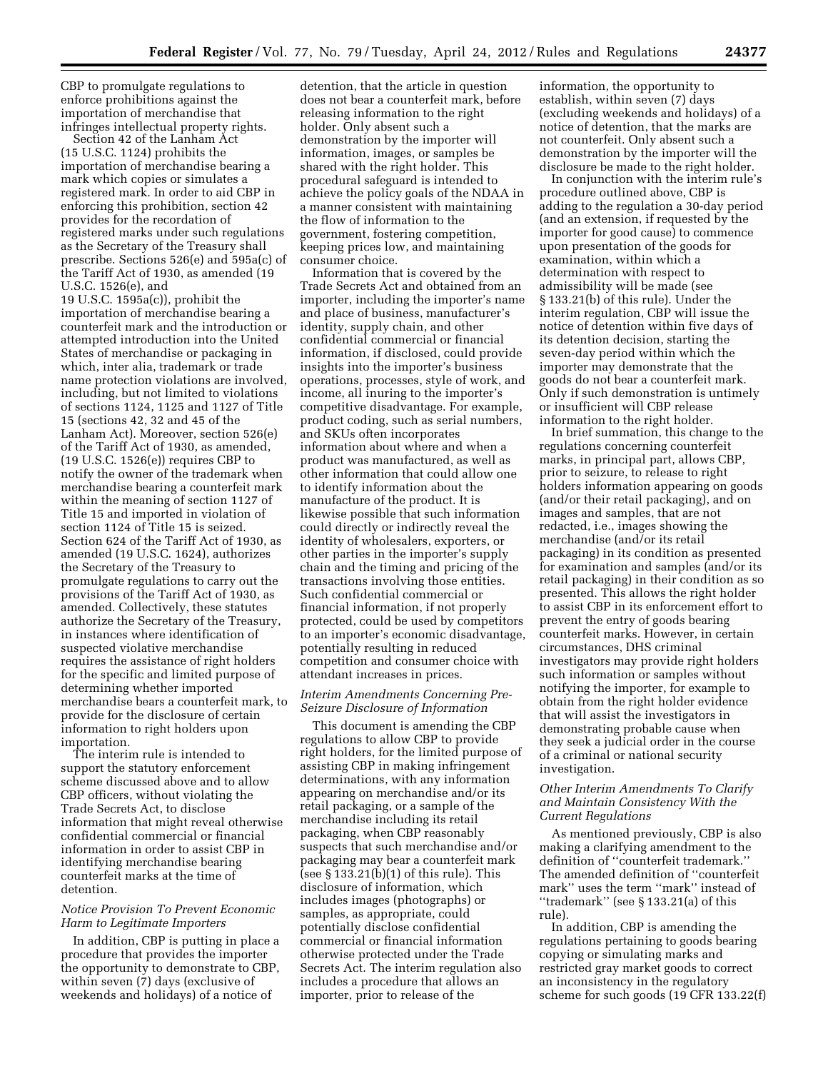CBP to promulgate regulations to enforce prohibitions against the importation of merchandise that infringes intellectual property rights.

Section 42 of the Lanham Act (15 U.S.C. 1124) prohibits the importation of merchandise bearing a mark which copies or simulates a registered mark. In order to aid CBP in enforcing this prohibition, section 42 provides for the recordation of registered marks under such regulations as the Secretary of the Treasury shall prescribe. Sections 526(e) and 595a(c) of the Tariff Act of 1930, as amended (19 U.S.C. 1526(e), and

19 U.S.C. 1595a(c)), prohibit the importation of merchandise bearing a counterfeit mark and the introduction or attempted introduction into the United States of merchandise or packaging in which, inter alia, trademark or trade name protection violations are involved, including, but not limited to violations of sections 1124, 1125 and 1127 of Title 15 (sections 42, 32 and 45 of the Lanham Act). Moreover, section 526(e) of the Tariff Act of 1930, as amended, (19 U.S.C. 1526(e)) requires CBP to notify the owner of the trademark when merchandise bearing a counterfeit mark within the meaning of section 1127 of Title 15 and imported in violation of section 1124 of Title 15 is seized. Section 624 of the Tariff Act of 1930, as amended (19 U.S.C. 1624), authorizes the Secretary of the Treasury to promulgate regulations to carry out the provisions of the Tariff Act of 1930, as amended. Collectively, these statutes authorize the Secretary of the Treasury, in instances where identification of suspected violative merchandise requires the assistance of right holders for the specific and limited purpose of determining whether imported merchandise bears a counterfeit mark, to provide for the disclosure of certain information to right holders upon importation.

The interim rule is intended to support the statutory enforcement scheme discussed above and to allow CBP officers, without violating the Trade Secrets Act, to disclose information that might reveal otherwise confidential commercial or financial information in order to assist CBP in identifying merchandise bearing counterfeit marks at the time of detention.

### *Notice Provision To Prevent Economic Harm to Legitimate Importers*

In addition, CBP is putting in place a procedure that provides the importer the opportunity to demonstrate to CBP, within seven (7) days (exclusive of weekends and holidays) of a notice of

detention, that the article in question does not bear a counterfeit mark, before releasing information to the right holder. Only absent such a demonstration by the importer will information, images, or samples be shared with the right holder. This procedural safeguard is intended to achieve the policy goals of the NDAA in a manner consistent with maintaining the flow of information to the government, fostering competition, keeping prices low, and maintaining consumer choice.

Information that is covered by the Trade Secrets Act and obtained from an importer, including the importer's name and place of business, manufacturer's identity, supply chain, and other confidential commercial or financial information, if disclosed, could provide insights into the importer's business operations, processes, style of work, and income, all inuring to the importer's competitive disadvantage. For example, product coding, such as serial numbers, and SKUs often incorporates information about where and when a product was manufactured, as well as other information that could allow one to identify information about the manufacture of the product. It is likewise possible that such information could directly or indirectly reveal the identity of wholesalers, exporters, or other parties in the importer's supply chain and the timing and pricing of the transactions involving those entities. Such confidential commercial or financial information, if not properly protected, could be used by competitors to an importer's economic disadvantage, potentially resulting in reduced competition and consumer choice with attendant increases in prices.

### *Interim Amendments Concerning Pre-Seizure Disclosure of Information*

This document is amending the CBP regulations to allow CBP to provide right holders, for the limited purpose of assisting CBP in making infringement determinations, with any information appearing on merchandise and/or its retail packaging, or a sample of the merchandise including its retail packaging, when CBP reasonably suspects that such merchandise and/or packaging may bear a counterfeit mark (see § 133.21(b)(1) of this rule). This disclosure of information, which includes images (photographs) or samples, as appropriate, could potentially disclose confidential commercial or financial information otherwise protected under the Trade Secrets Act. The interim regulation also includes a procedure that allows an importer, prior to release of the

information, the opportunity to establish, within seven (7) days (excluding weekends and holidays) of a notice of detention, that the marks are not counterfeit. Only absent such a demonstration by the importer will the disclosure be made to the right holder.

In conjunction with the interim rule's procedure outlined above, CBP is adding to the regulation a 30-day period (and an extension, if requested by the importer for good cause) to commence upon presentation of the goods for examination, within which a determination with respect to admissibility will be made (see § 133.21(b) of this rule). Under the interim regulation, CBP will issue the notice of detention within five days of its detention decision, starting the seven-day period within which the importer may demonstrate that the goods do not bear a counterfeit mark. Only if such demonstration is untimely or insufficient will CBP release information to the right holder.

In brief summation, this change to the regulations concerning counterfeit marks, in principal part, allows CBP, prior to seizure, to release to right holders information appearing on goods (and/or their retail packaging), and on images and samples, that are not redacted, i.e., images showing the merchandise (and/or its retail packaging) in its condition as presented for examination and samples (and/or its retail packaging) in their condition as so presented. This allows the right holder to assist CBP in its enforcement effort to prevent the entry of goods bearing counterfeit marks. However, in certain circumstances, DHS criminal investigators may provide right holders such information or samples without notifying the importer, for example to obtain from the right holder evidence that will assist the investigators in demonstrating probable cause when they seek a judicial order in the course of a criminal or national security investigation.

## *Other Interim Amendments To Clarify and Maintain Consistency With the Current Regulations*

As mentioned previously, CBP is also making a clarifying amendment to the definition of ''counterfeit trademark.'' The amended definition of ''counterfeit mark'' uses the term ''mark'' instead of ''trademark'' (see § 133.21(a) of this rule).

In addition, CBP is amending the regulations pertaining to goods bearing copying or simulating marks and restricted gray market goods to correct an inconsistency in the regulatory scheme for such goods (19 CFR 133.22(f)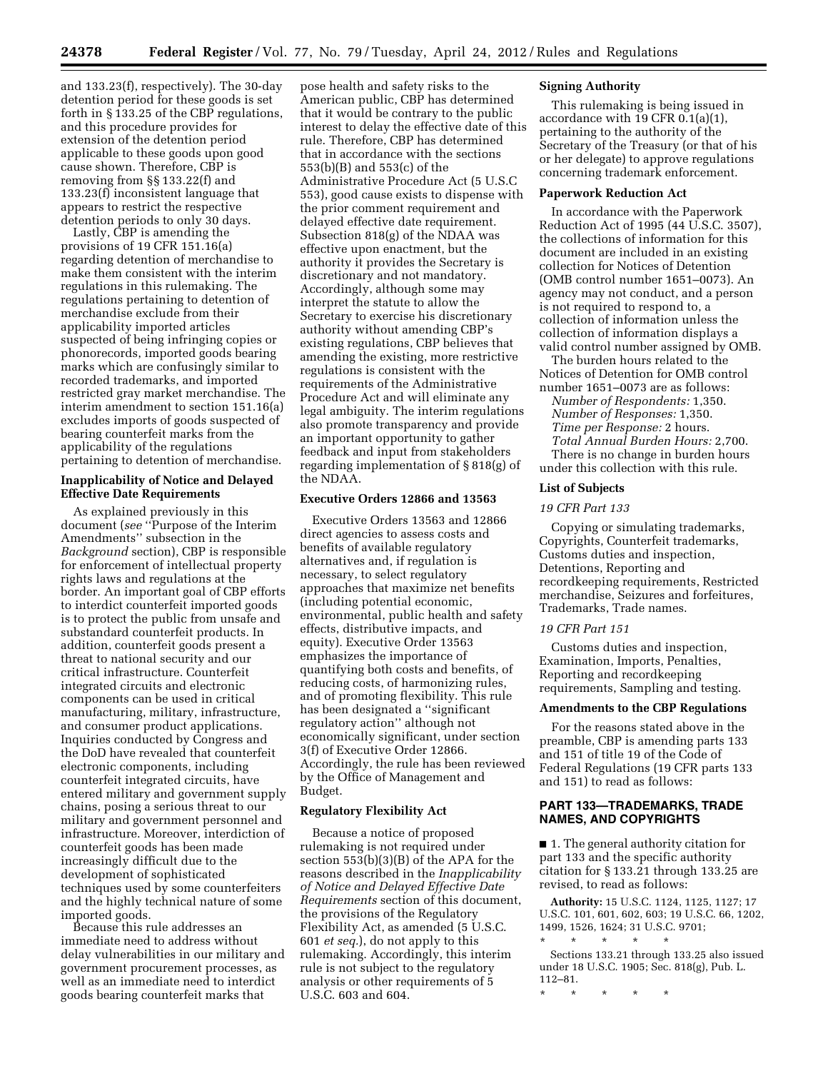and 133.23(f), respectively). The 30-day detention period for these goods is set forth in § 133.25 of the CBP regulations, and this procedure provides for extension of the detention period applicable to these goods upon good cause shown. Therefore, CBP is removing from §§ 133.22(f) and 133.23(f) inconsistent language that appears to restrict the respective detention periods to only 30 days.

Lastly, CBP is amending the provisions of 19 CFR 151.16(a) regarding detention of merchandise to make them consistent with the interim regulations in this rulemaking. The regulations pertaining to detention of merchandise exclude from their applicability imported articles suspected of being infringing copies or phonorecords, imported goods bearing marks which are confusingly similar to recorded trademarks, and imported restricted gray market merchandise. The interim amendment to section 151.16(a) excludes imports of goods suspected of bearing counterfeit marks from the applicability of the regulations pertaining to detention of merchandise.

### **Inapplicability of Notice and Delayed Effective Date Requirements**

As explained previously in this document (*see* ''Purpose of the Interim Amendments'' subsection in the *Background* section), CBP is responsible for enforcement of intellectual property rights laws and regulations at the border. An important goal of CBP efforts to interdict counterfeit imported goods is to protect the public from unsafe and substandard counterfeit products. In addition, counterfeit goods present a threat to national security and our critical infrastructure. Counterfeit integrated circuits and electronic components can be used in critical manufacturing, military, infrastructure, and consumer product applications. Inquiries conducted by Congress and the DoD have revealed that counterfeit electronic components, including counterfeit integrated circuits, have entered military and government supply chains, posing a serious threat to our military and government personnel and infrastructure. Moreover, interdiction of counterfeit goods has been made increasingly difficult due to the development of sophisticated techniques used by some counterfeiters and the highly technical nature of some imported goods.

Because this rule addresses an immediate need to address without delay vulnerabilities in our military and government procurement processes, as well as an immediate need to interdict goods bearing counterfeit marks that

pose health and safety risks to the American public, CBP has determined that it would be contrary to the public interest to delay the effective date of this rule. Therefore, CBP has determined that in accordance with the sections 553(b)(B) and 553(c) of the Administrative Procedure Act (5 U.S.C 553), good cause exists to dispense with the prior comment requirement and delayed effective date requirement. Subsection 818(g) of the NDAA was effective upon enactment, but the authority it provides the Secretary is discretionary and not mandatory. Accordingly, although some may interpret the statute to allow the Secretary to exercise his discretionary authority without amending CBP's existing regulations, CBP believes that amending the existing, more restrictive regulations is consistent with the requirements of the Administrative Procedure Act and will eliminate any legal ambiguity. The interim regulations also promote transparency and provide an important opportunity to gather feedback and input from stakeholders regarding implementation of § 818(g) of the NDAA.

### **Executive Orders 12866 and 13563**

Executive Orders 13563 and 12866 direct agencies to assess costs and benefits of available regulatory alternatives and, if regulation is necessary, to select regulatory approaches that maximize net benefits (including potential economic, environmental, public health and safety effects, distributive impacts, and equity). Executive Order 13563 emphasizes the importance of quantifying both costs and benefits, of reducing costs, of harmonizing rules, and of promoting flexibility. This rule has been designated a ''significant regulatory action'' although not economically significant, under section 3(f) of Executive Order 12866. Accordingly, the rule has been reviewed by the Office of Management and Budget.

## **Regulatory Flexibility Act**

Because a notice of proposed rulemaking is not required under section 553(b)(3)(B) of the APA for the reasons described in the *Inapplicability of Notice and Delayed Effective Date Requirements* section of this document, the provisions of the Regulatory Flexibility Act, as amended (5 U.S.C. 601 *et seq.*), do not apply to this rulemaking. Accordingly, this interim rule is not subject to the regulatory analysis or other requirements of 5 U.S.C. 603 and 604.

### **Signing Authority**

This rulemaking is being issued in accordance with 19 CFR 0.1(a)(1), pertaining to the authority of the Secretary of the Treasury (or that of his or her delegate) to approve regulations concerning trademark enforcement.

#### **Paperwork Reduction Act**

In accordance with the Paperwork Reduction Act of 1995 (44 U.S.C. 3507), the collections of information for this document are included in an existing collection for Notices of Detention (OMB control number 1651–0073). An agency may not conduct, and a person is not required to respond to, a collection of information unless the collection of information displays a valid control number assigned by OMB.

The burden hours related to the Notices of Detention for OMB control number 1651–0073 are as follows:

*Number of Respondents:* 1,350. *Number of Responses:* 1,350. *Time per Response:* 2 hours. *Total Annual Burden Hours:* 2,700. There is no change in burden hours under this collection with this rule.

#### **List of Subjects**

#### *19 CFR Part 133*

Copying or simulating trademarks, Copyrights, Counterfeit trademarks, Customs duties and inspection, Detentions, Reporting and recordkeeping requirements, Restricted merchandise, Seizures and forfeitures, Trademarks, Trade names.

### *19 CFR Part 151*

Customs duties and inspection, Examination, Imports, Penalties, Reporting and recordkeeping requirements, Sampling and testing.

### **Amendments to the CBP Regulations**

For the reasons stated above in the preamble, CBP is amending parts 133 and 151 of title 19 of the Code of Federal Regulations (19 CFR parts 133 and 151) to read as follows:

### **PART 133—TRADEMARKS, TRADE NAMES, AND COPYRIGHTS**

■ 1. The general authority citation for part 133 and the specific authority citation for § 133.21 through 133.25 are revised, to read as follows:

**Authority:** 15 U.S.C. 1124, 1125, 1127; 17 U.S.C. 101, 601, 602, 603; 19 U.S.C. 66, 1202, 1499, 1526, 1624; 31 U.S.C. 9701;

\* \* \* \* \* Sections 133.21 through 133.25 also issued under 18 U.S.C. 1905; Sec. 818(g), Pub. L. 112–81.

\* \* \* \* \*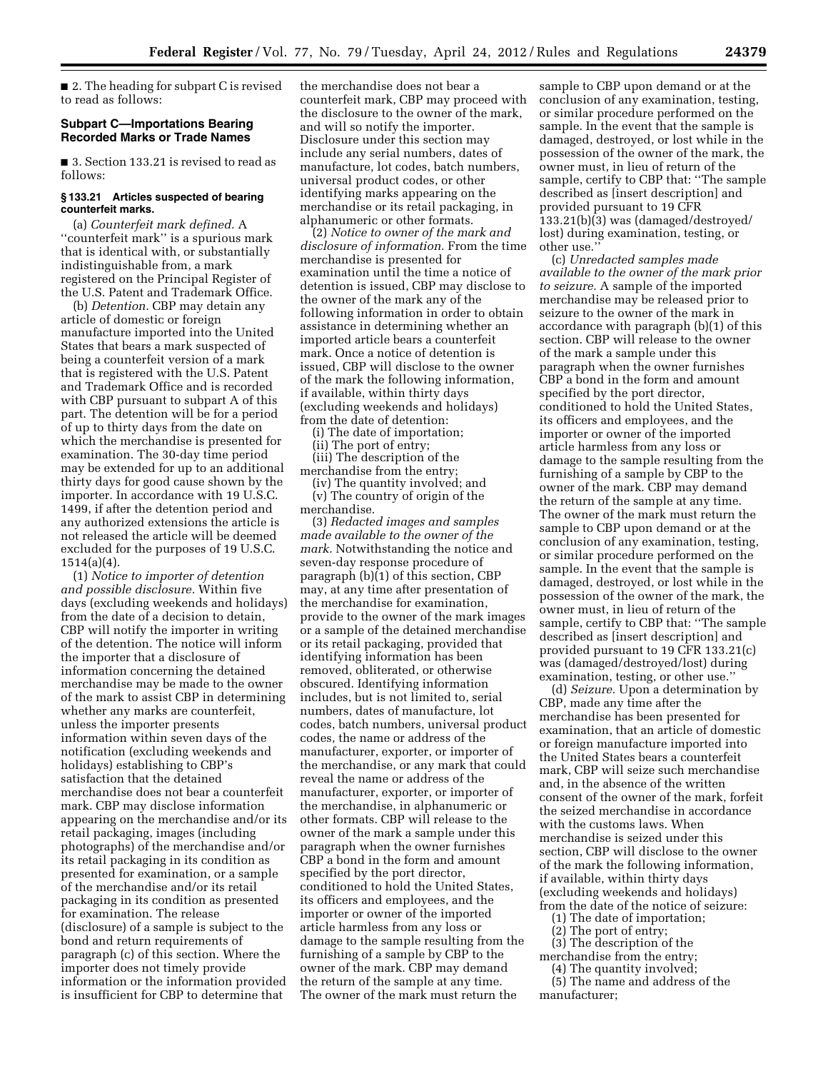■ 2. The heading for subpart C is revised to read as follows:

# **Subpart C—Importations Bearing Recorded Marks or Trade Names**

■ 3. Section 133.21 is revised to read as follows:

### **§ 133.21 Articles suspected of bearing counterfeit marks.**

(a) *Counterfeit mark defined.* A ''counterfeit mark'' is a spurious mark that is identical with, or substantially indistinguishable from, a mark registered on the Principal Register of the U.S. Patent and Trademark Office.

(b) *Detention.* CBP may detain any article of domestic or foreign manufacture imported into the United States that bears a mark suspected of being a counterfeit version of a mark that is registered with the U.S. Patent and Trademark Office and is recorded with CBP pursuant to subpart A of this part. The detention will be for a period of up to thirty days from the date on which the merchandise is presented for examination. The 30-day time period may be extended for up to an additional thirty days for good cause shown by the importer. In accordance with 19 U.S.C. 1499, if after the detention period and any authorized extensions the article is not released the article will be deemed excluded for the purposes of 19 U.S.C. 1514(a)(4).

(1) *Notice to importer of detention and possible disclosure.* Within five days (excluding weekends and holidays) from the date of a decision to detain, CBP will notify the importer in writing of the detention. The notice will inform the importer that a disclosure of information concerning the detained merchandise may be made to the owner of the mark to assist CBP in determining whether any marks are counterfeit, unless the importer presents information within seven days of the notification (excluding weekends and holidays) establishing to CBP's satisfaction that the detained merchandise does not bear a counterfeit mark. CBP may disclose information appearing on the merchandise and/or its retail packaging, images (including photographs) of the merchandise and/or its retail packaging in its condition as presented for examination, or a sample of the merchandise and/or its retail packaging in its condition as presented for examination. The release (disclosure) of a sample is subject to the bond and return requirements of paragraph (c) of this section. Where the importer does not timely provide information or the information provided is insufficient for CBP to determine that

the merchandise does not bear a counterfeit mark, CBP may proceed with the disclosure to the owner of the mark, and will so notify the importer. Disclosure under this section may include any serial numbers, dates of manufacture, lot codes, batch numbers, universal product codes, or other identifying marks appearing on the merchandise or its retail packaging, in alphanumeric or other formats.

(2) *Notice to owner of the mark and disclosure of information.* From the time merchandise is presented for examination until the time a notice of detention is issued, CBP may disclose to the owner of the mark any of the following information in order to obtain assistance in determining whether an imported article bears a counterfeit mark. Once a notice of detention is issued, CBP will disclose to the owner of the mark the following information, if available, within thirty days (excluding weekends and holidays) from the date of detention:

(i) The date of importation;

(ii) The port of entry;

(iii) The description of the merchandise from the entry;

(iv) The quantity involved; and (v) The country of origin of the merchandise.

(3) *Redacted images and samples made available to the owner of the mark.* Notwithstanding the notice and seven-day response procedure of paragraph (b)(1) of this section, CBP may, at any time after presentation of the merchandise for examination, provide to the owner of the mark images or a sample of the detained merchandise or its retail packaging, provided that identifying information has been removed, obliterated, or otherwise obscured. Identifying information includes, but is not limited to, serial numbers, dates of manufacture, lot codes, batch numbers, universal product codes, the name or address of the manufacturer, exporter, or importer of the merchandise, or any mark that could reveal the name or address of the manufacturer, exporter, or importer of the merchandise, in alphanumeric or other formats. CBP will release to the owner of the mark a sample under this paragraph when the owner furnishes CBP a bond in the form and amount specified by the port director, conditioned to hold the United States, its officers and employees, and the importer or owner of the imported article harmless from any loss or damage to the sample resulting from the furnishing of a sample by CBP to the owner of the mark. CBP may demand the return of the sample at any time. The owner of the mark must return the

sample to CBP upon demand or at the conclusion of any examination, testing, or similar procedure performed on the sample. In the event that the sample is damaged, destroyed, or lost while in the possession of the owner of the mark, the owner must, in lieu of return of the sample, certify to CBP that: ''The sample described as [insert description] and provided pursuant to 19 CFR 133.21(b)(3) was (damaged/destroyed/ lost) during examination, testing, or other use.''

(c) *Unredacted samples made available to the owner of the mark prior to seizure.* A sample of the imported merchandise may be released prior to seizure to the owner of the mark in accordance with paragraph (b)(1) of this section. CBP will release to the owner of the mark a sample under this paragraph when the owner furnishes CBP a bond in the form and amount specified by the port director, conditioned to hold the United States, its officers and employees, and the importer or owner of the imported article harmless from any loss or damage to the sample resulting from the furnishing of a sample by CBP to the owner of the mark. CBP may demand the return of the sample at any time. The owner of the mark must return the sample to CBP upon demand or at the conclusion of any examination, testing, or similar procedure performed on the sample. In the event that the sample is damaged, destroyed, or lost while in the possession of the owner of the mark, the owner must, in lieu of return of the sample, certify to CBP that: ''The sample described as [insert description] and provided pursuant to 19 CFR 133.21(c) was (damaged/destroyed/lost) during examination, testing, or other use.''

(d) *Seizure.* Upon a determination by CBP, made any time after the merchandise has been presented for examination, that an article of domestic or foreign manufacture imported into the United States bears a counterfeit mark, CBP will seize such merchandise and, in the absence of the written consent of the owner of the mark, forfeit the seized merchandise in accordance with the customs laws. When merchandise is seized under this section, CBP will disclose to the owner of the mark the following information, if available, within thirty days (excluding weekends and holidays) from the date of the notice of seizure:

- (1) The date of importation;
- (2) The port of entry;
- (3) The description of the
- merchandise from the entry; (4) The quantity involved;

(5) The name and address of the manufacturer;